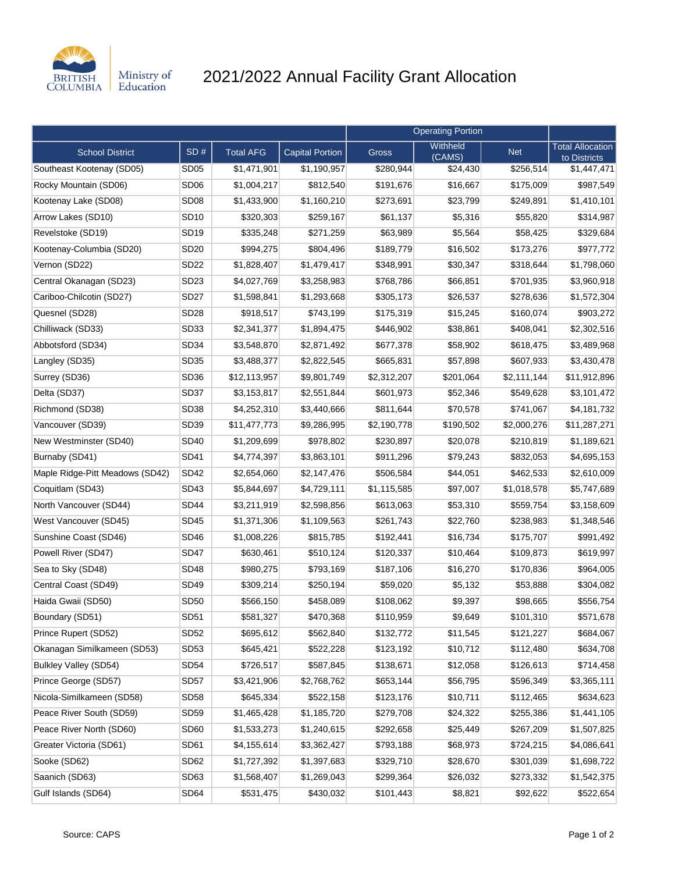

## 2021/2022 Annual Facility Grant Allocation

|                                 |                  |                  |                        | <b>Operating Portion</b> |                    |             |                                         |
|---------------------------------|------------------|------------------|------------------------|--------------------------|--------------------|-------------|-----------------------------------------|
| <b>School District</b>          | SD#              | <b>Total AFG</b> | <b>Capital Portion</b> | <b>Gross</b>             | Withheld<br>(CAMS) | <b>Net</b>  | <b>Total Allocation</b><br>to Districts |
| Southeast Kootenay (SD05)       | <b>SD05</b>      | \$1,471,901      | \$1,190,957            | \$280,944                | \$24,430           | \$256,514   | \$1,447,471                             |
| Rocky Mountain (SD06)           | SD <sub>06</sub> | \$1,004,217      | \$812,540              | \$191,676                | \$16,667           | \$175,009   | \$987,549                               |
| Kootenay Lake (SD08)            | SD <sub>08</sub> | \$1,433,900      | \$1,160,210            | \$273,691                | \$23,799           | \$249,891   | \$1,410,101                             |
| Arrow Lakes (SD10)              | <b>SD10</b>      | \$320,303        | \$259,167              | \$61,137                 | \$5,316            | \$55,820    | \$314,987                               |
| Revelstoke (SD19)               | <b>SD19</b>      | \$335,248        | \$271,259              | \$63,989                 | \$5,564            | \$58,425    | \$329,684                               |
| Kootenay-Columbia (SD20)        | <b>SD20</b>      | \$994,275        | \$804,496              | \$189,779                | \$16,502           | \$173,276   | \$977,772                               |
| Vernon (SD22)                   | <b>SD22</b>      | \$1,828,407      | \$1,479,417            | \$348,991                | \$30,347           | \$318,644   | \$1,798,060                             |
| Central Okanagan (SD23)         | SD23             | \$4,027,769      | \$3,258,983            | \$768,786                | \$66,851           | \$701,935   | \$3,960,918                             |
| Cariboo-Chilcotin (SD27)        | <b>SD27</b>      | \$1,598,841      | \$1,293,668            | \$305,173                | \$26,537           | \$278,636   | \$1,572,304                             |
| Quesnel (SD28)                  | <b>SD28</b>      | \$918,517        | \$743,199              | \$175,319                | \$15,245           | \$160,074   | \$903,272                               |
| Chilliwack (SD33)               | SD <sub>33</sub> | \$2,341,377      | \$1,894,475            | \$446,902                | \$38,861           | \$408,041   | \$2,302,516                             |
| Abbotsford (SD34)               | <b>SD34</b>      | \$3,548,870      | \$2,871,492            | \$677,378                | \$58,902           | \$618,475   | \$3,489,968                             |
| Langley (SD35)                  | <b>SD35</b>      | \$3,488,377      | \$2,822,545            | \$665,831                | \$57,898           | \$607,933   | \$3,430,478                             |
| Surrey (SD36)                   | SD <sub>36</sub> | \$12,113,957     | \$9,801,749            | \$2,312,207              | \$201,064          | \$2,111,144 | \$11,912,896                            |
| Delta (SD37)                    | SD <sub>37</sub> | \$3,153,817      | \$2,551,844            | \$601,973                | \$52,346           | \$549,628   | \$3,101,472                             |
| Richmond (SD38)                 | SD <sub>38</sub> | \$4,252,310      | \$3,440,666            | \$811,644                | \$70,578           | \$741,067   | \$4,181,732                             |
| Vancouver (SD39)                | SD39             | \$11,477,773     | \$9,286,995            | \$2,190,778              | \$190,502          | \$2,000,276 | \$11,287,271                            |
| New Westminster (SD40)          | <b>SD40</b>      | \$1,209,699      | \$978,802              | \$230,897                | \$20,078           | \$210,819   | \$1,189,621                             |
| Burnaby (SD41)                  | <b>SD41</b>      | \$4,774,397      | \$3,863,101            | \$911,296                | \$79,243           | \$832,053   | \$4,695,153                             |
| Maple Ridge-Pitt Meadows (SD42) | <b>SD42</b>      | \$2,654,060      | \$2,147,476            | \$506,584                | \$44,051           | \$462,533   | \$2,610,009                             |
| Coquitlam (SD43)                | <b>SD43</b>      | \$5,844,697      | \$4,729,111            | \$1,115,585              | \$97,007           | \$1,018,578 | \$5,747,689                             |
| North Vancouver (SD44)          | <b>SD44</b>      | \$3,211,919      | \$2,598,856            | \$613,063                | \$53,310           | \$559,754   | \$3,158,609                             |
| West Vancouver (SD45)           | <b>SD45</b>      | \$1,371,306      | \$1,109,563            | \$261,743                | \$22,760           | \$238,983   | \$1,348,546                             |
| Sunshine Coast (SD46)           | <b>SD46</b>      | \$1,008,226      | \$815,785              | \$192,441                | \$16,734           | \$175,707   | \$991,492                               |
| Powell River (SD47)             | <b>SD47</b>      | \$630,461        | \$510,124              | \$120,337                | \$10,464           | \$109,873   | \$619,997                               |
| Sea to Sky (SD48)               | <b>SD48</b>      | \$980,275        | \$793,169              | \$187,106                | \$16,270           | \$170,836   | \$964,005                               |
| Central Coast (SD49)            | <b>SD49</b>      | \$309,214        | \$250,194              | \$59,020                 | \$5,132            | \$53,888    | \$304,082                               |
| Haida Gwaii (SD50)              | <b>SD50</b>      | \$566,150        | \$458,089              | \$108,062                | \$9,397            | \$98,665    | \$556,754                               |
| Boundary (SD51)                 | SD <sub>51</sub> | \$581,327        | \$470,368              | \$110,959                | \$9,649            | \$101,310   | \$571,678                               |
| Prince Rupert (SD52)            | <b>SD52</b>      | \$695,612        | \$562,840              | \$132,772                | \$11,545           | \$121,227   | \$684,067                               |
| Okanagan Similkameen (SD53)     | SD <sub>53</sub> | \$645,421        | \$522,228              | \$123,192                | \$10,712           | \$112,480   | \$634,708                               |
| Bulkley Valley (SD54)           | <b>SD54</b>      | \$726,517        | \$587,845              | \$138,671                | \$12,058           | \$126,613   | \$714,458                               |
| Prince George (SD57)            | SD <sub>57</sub> | \$3,421,906      | \$2,768,762            | \$653,144                | \$56,795           | \$596,349   | \$3,365,111                             |
| Nicola-Similkameen (SD58)       | <b>SD58</b>      | \$645,334        | \$522,158              | \$123,176                | \$10,711           | \$112,465   | \$634,623                               |
| Peace River South (SD59)        | SD59             | \$1,465,428      | \$1,185,720            | \$279,708                | \$24,322           | \$255,386   | \$1,441,105                             |
| Peace River North (SD60)        | SD <sub>60</sub> | \$1,533,273      | \$1,240,615            | \$292,658                | \$25,449           | \$267,209   | \$1,507,825                             |
| Greater Victoria (SD61)         | SD61             | \$4,155,614      | \$3,362,427            | \$793,188                | \$68,973           | \$724,215   | \$4,086,641                             |
| Sooke (SD62)                    | SD62             | \$1,727,392      | \$1,397,683            | \$329,710                | \$28,670           | \$301,039   | \$1,698,722                             |
| Saanich (SD63)                  | SD63             | \$1,568,407      | \$1,269,043            | \$299,364                | \$26,032           | \$273,332   | \$1,542,375                             |
| Gulf Islands (SD64)             | SD64             | \$531,475        | \$430,032              | \$101,443                | \$8,821            | \$92,622    | \$522,654                               |